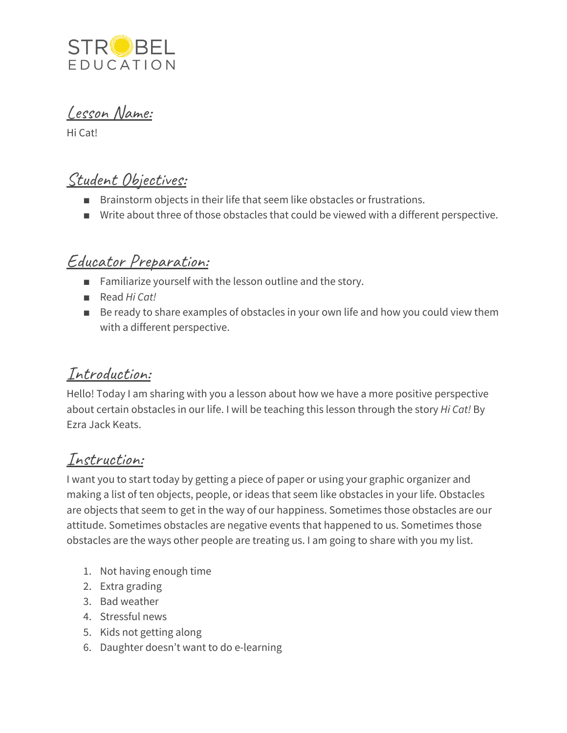

Lesson Name:

Hi Cat!

## Student Objectives:

- Brainstorm objects in their life that seem like obstacles or frustrations.
- Write about three of those obstacles that could be viewed with a different perspective.

## Educator Preparation:

- Familiarize yourself with the lesson outline and the story.
- Read *Hi Cat!*
- Be ready to share examples of obstacles in your own life and how you could view them with a different perspective.

### Introduction:

Hello! Today I am sharing with you a lesson about how we have a more positive perspective about certain obstacles in our life. I will be teaching this lesson through the story *Hi Cat!* By Ezra Jack Keats.

### Instruction:

I want you to start today by getting a piece of paper or using your graphic organizer and making a list of ten objects, people, or ideas that seem like obstacles in your life. Obstacles are objects that seem to get in the way of our happiness. Sometimes those obstacles are our attitude. Sometimes obstacles are negative events that happened to us. Sometimes those obstacles are the ways other people are treating us. I am going to share with you my list.

- 1. Not having enough time
- 2. Extra grading
- 3. Bad weather
- 4. Stressful news
- 5. Kids not getting along
- 6. Daughter doesn't want to do e-learning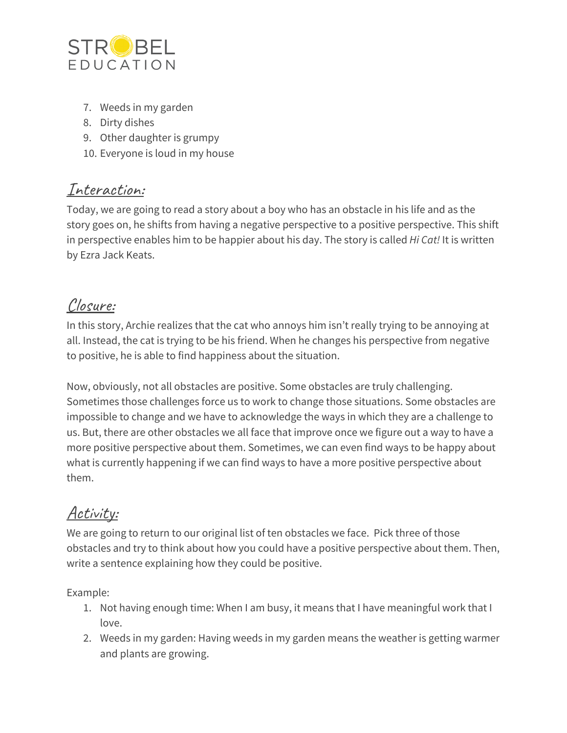

- 7. Weeds in my garden
- 8. Dirty dishes
- 9. Other daughter is grumpy
- 10. Everyone is loud in my house

### Interaction:

Today, we are going to read a story about a boy who has an obstacle in his life and as the story goes on, he shifts from having a negative perspective to a positive perspective. This shift in perspective enables him to be happier about his day. The story is called *Hi Cat!* It is written by Ezra Jack Keats.

## Closure:

In this story, Archie realizes that the cat who annoys him isn't really trying to be annoying at all. Instead, the cat is trying to be his friend. When he changes his perspective from negative to positive, he is able to find happiness about the situation.

Now, obviously, not all obstacles are positive. Some obstacles are truly challenging. Sometimes those challenges force us to work to change those situations. Some obstacles are impossible to change and we have to acknowledge the ways in which they are a challenge to us. But, there are other obstacles we all face that improve once we figure out a way to have a more positive perspective about them. Sometimes, we can even find ways to be happy about what is currently happening if we can find ways to have a more positive perspective about them.

# Activity:

We are going to return to our original list of ten obstacles we face. Pick three of those obstacles and try to think about how you could have a positive perspective about them. Then, write a sentence explaining how they could be positive.

Example:

- 1. Not having enough time: When I am busy, it means that I have meaningful work that I love.
- 2. Weeds in my garden: Having weeds in my garden means the weather is getting warmer and plants are growing.